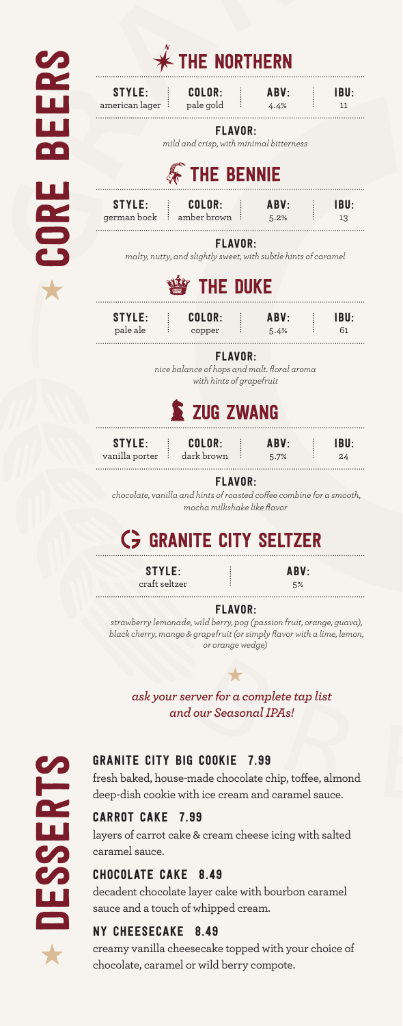|      | THE NORTHERN                                                                                                          |            |  |
|------|-----------------------------------------------------------------------------------------------------------------------|------------|--|
|      | COLOR:<br><b>STYLE:</b><br>ABV:<br>american lager <sup>:</sup> pale gold<br>4.4%<br>÷.                                | IBU:<br>11 |  |
|      | <b>FLAVOR:</b><br>mild and crisp, with minimal bitterness<br><b>THE BENNIE</b>                                        |            |  |
|      | COLOR:<br>STYLE:<br>ABV:<br>÷<br>÷.<br>german bock $\vdots$ amber brown $\vdots$ 5.2%                                 | IBU:<br>13 |  |
| BOP. | <b>FLAVOR:</b><br>malty, nutty, and slightly sweet, with subtle hints of caramel                                      |            |  |
|      | <b>THE DUKE</b>                                                                                                       |            |  |
|      | STYLE:<br>COLOR:<br>ABV:<br>pale ale<br>copper<br>÷<br>5.4%                                                           | IBU:<br>61 |  |
|      | <b>FLAVOR:</b><br>nice balance of hops and malt. floral aroma<br>with hints of grapefruit<br>E ZUG ZWANG              |            |  |
|      | STYLE:<br>COLOR:<br>ABV:<br>vanilla porter : dark brown<br>5.7%                                                       | IBU:<br>24 |  |
|      | <b>FLAVOR:</b><br>chocolate, vanilla and hints of roasted coffee combine for a smooth,<br>mocha milkshake like flavor |            |  |

# GRANITE CITY SELTZER

STYLE: craft seltzer

ABV: 5%

FLAVOR:

*strawberry lemonade, wild berry, pog (passion fruit, orange, guava), black cherry, mango & grapefruit (or simply flavor with a lime, lemon, or orange wedge)*

*ask your server for a complete tap list and our Seasonal IPAs!*

 $\bigstar$ 



# GRANITE CITY BIG COOKIE 7.99

fresh baked, house-made chocolate chip, toffee, almond deep-dish cookie with ice cream and caramel sauce.

## CARROT CAKE 7.99

layers of carrot cake & cream cheese icing with salted caramel sauce.

## CHOCOLATE CAKE 8.49

decadent chocolate layer cake with bourbon caramel sauce and a touch of whipped cream.

## NY CHEESECAKE 8.49

creamy vanilla cheesecake topped with your choice of chocolate, caramel or wild berry compote.